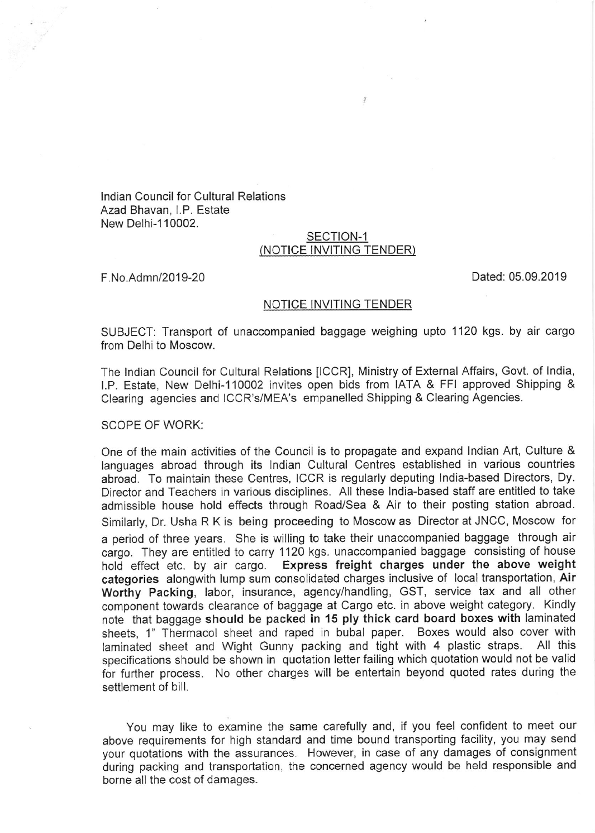lndian Council for Cultural Relations Azad Bhavan, l.P. Estate New Delhi-1 10002.

## SECTION-1 (NOTICE INVITING TENDER)

 $\widetilde{\mathcal{J}}$ 

F.No.Admn/2019-20 Dated: 05.09.2019

## NOTICE INVITING TENDER

SUBJECT: Transport of unaccompanied baggage weighing upto 1120 kgs. by air cargo from Delhi to Moscow.

The lndian Council for Cultural Relations ICCR], Ministry of External Affairs, Govt. of lndia, l.P. Estate, New Delhi-1 10002 invites open bids from IATA & FFI approved Shipping & Clearing agencies and ICCR's/MEA's empanelled Shipping & Clearing Agencies.

SCOPE OF WORK:

One of the main activities of the Council is to propagate and expand lndian Art, Culture & languages abroad through its lndian Cultural Centres established in various countries abroad. To maintain these Centres, ICCR is regularly deputing lndia-based Directors, Dy. Director and Teachers in various disciplines, All these lndia-based staff are entitled to take admissible house hold effects through Road/Sea & Air to their posting station abroad. Similarly, Dr. Usha R K is being proceeding to Moscow as Director at JNCC, Moscow for a period of three years. She is willing to take their unaccompanied baggage through air cargo. They are entitled to carry 1120 kgs. unaccompanied baggage consisting of house hold effect etc. by air cargo. Express freight charges under the above weight categories alongwith lump sum consolidated charges inclusive of local transportation, Air Worthy Packing, labor, insurance, agency/handling, GST, service tax and all other component towards clearance of baggage at Cargo etc. in above weight category. Kindly note that baggage should be packed in 15 ply thick card board boxes with laminated sheets, 1" Thermacol sheet and raped in bubal paper. Boxes would also cover with laminated sheet and Wight Gunny packing and tight with 4 plastic straps. All this laminated sheet and Wight Gunny packing and tight with 4 plastic straps. specifications should be shown in quotation letter failing which quotation would not be valid for further process. No other charges will be entertain beyond quoted rates during the settlement of bill.

You may like to examine the same carefully and, if you feel confident to meet our above requirements for high standard and time bound transporting facility, you may send your quotations with the assurances. However, in case of any damages of consignment during packing and transportation, the concerned agency would be held responsible and borne all the cost of damages.